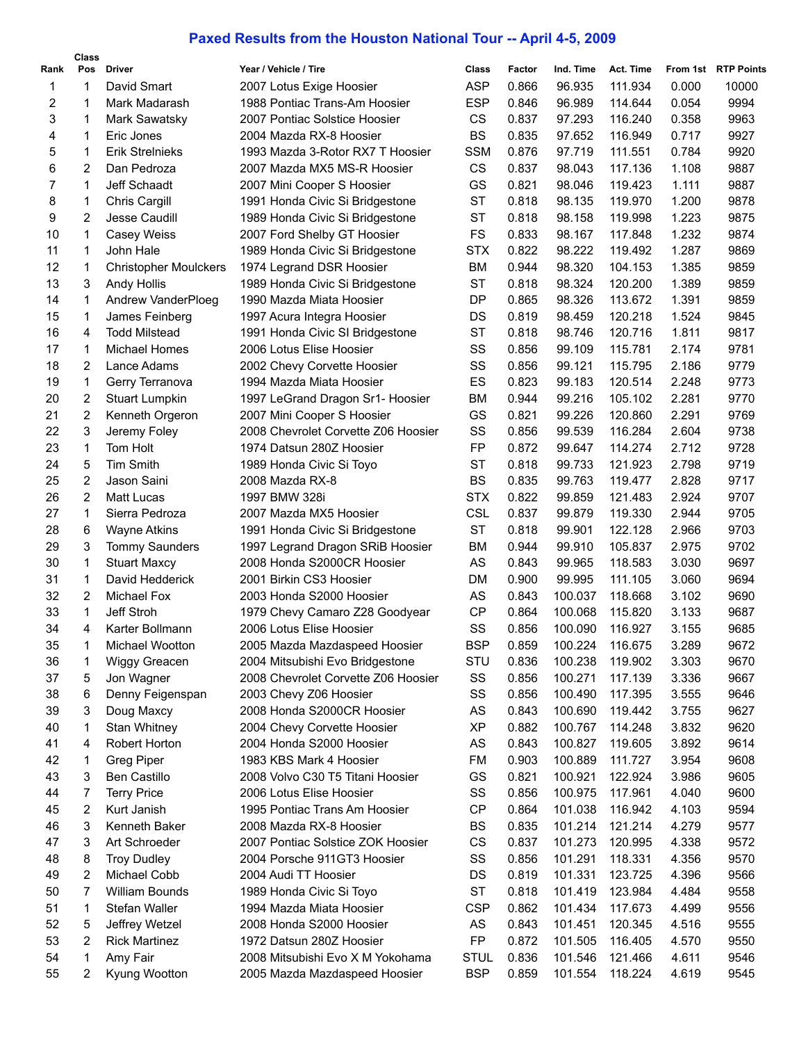## **Paxed Results from the Houston National Tour -- April 4-5, 2009**

|      | Class |                              |                                     |             |        |           |           |       |                     |
|------|-------|------------------------------|-------------------------------------|-------------|--------|-----------|-----------|-------|---------------------|
| Rank | Pos   | <b>Driver</b>                | Year / Vehicle / Tire               | Class       | Factor | Ind. Time | Act. Time |       | From 1st RTP Points |
| 1    | 1     | David Smart                  | 2007 Lotus Exige Hoosier            | ASP         | 0.866  | 96.935    | 111.934   | 0.000 | 10000               |
| 2    | 1     | Mark Madarash                | 1988 Pontiac Trans-Am Hoosier       | <b>ESP</b>  | 0.846  | 96.989    | 114.644   | 0.054 | 9994                |
| 3    | 1     | Mark Sawatsky                | 2007 Pontiac Solstice Hoosier       | CS          | 0.837  | 97.293    | 116.240   | 0.358 | 9963                |
| 4    | 1     | Eric Jones                   | 2004 Mazda RX-8 Hoosier             | <b>BS</b>   | 0.835  | 97.652    | 116.949   | 0.717 | 9927                |
| 5    | 1     | <b>Erik Strelnieks</b>       | 1993 Mazda 3-Rotor RX7 T Hoosier    | <b>SSM</b>  | 0.876  | 97.719    | 111.551   | 0.784 | 9920                |
| 6    | 2     | Dan Pedroza                  | 2007 Mazda MX5 MS-R Hoosier         | <b>CS</b>   | 0.837  | 98.043    | 117.136   | 1.108 | 9887                |
| 7    | 1     | Jeff Schaadt                 | 2007 Mini Cooper S Hoosier          | GS          | 0.821  | 98.046    | 119.423   | 1.111 | 9887                |
| 8    | 1     | Chris Cargill                | 1991 Honda Civic Si Bridgestone     | <b>ST</b>   | 0.818  | 98.135    | 119.970   | 1.200 | 9878                |
| 9    | 2     | Jesse Caudill                | 1989 Honda Civic Si Bridgestone     | <b>ST</b>   | 0.818  | 98.158    | 119.998   | 1.223 | 9875                |
| 10   | 1     | Casey Weiss                  | 2007 Ford Shelby GT Hoosier         | <b>FS</b>   | 0.833  | 98.167    | 117.848   | 1.232 | 9874                |
| 11   | 1     | John Hale                    | 1989 Honda Civic Si Bridgestone     | <b>STX</b>  | 0.822  | 98.222    | 119.492   | 1.287 | 9869                |
| 12   | 1     | <b>Christopher Moulckers</b> | 1974 Legrand DSR Hoosier            | BM          | 0.944  | 98.320    | 104.153   | 1.385 | 9859                |
| 13   | 3     | Andy Hollis                  | 1989 Honda Civic Si Bridgestone     | <b>ST</b>   | 0.818  | 98.324    | 120.200   | 1.389 | 9859                |
| 14   | 1     | Andrew VanderPloeg           | 1990 Mazda Miata Hoosier            | DP          | 0.865  | 98.326    | 113.672   | 1.391 | 9859                |
| 15   | 1     | James Feinberg               | 1997 Acura Integra Hoosier          | DS          | 0.819  | 98.459    | 120.218   | 1.524 | 9845                |
| 16   | 4     | Todd Milstead                | 1991 Honda Civic SI Bridgestone     | ST          | 0.818  | 98.746    | 120.716   | 1.811 | 9817                |
| 17   | 1     | Michael Homes                | 2006 Lotus Elise Hoosier            | SS          | 0.856  | 99.109    | 115.781   | 2.174 | 9781                |
| 18   | 2     | Lance Adams                  | 2002 Chevy Corvette Hoosier         | SS          | 0.856  | 99.121    | 115.795   | 2.186 | 9779                |
| 19   | 1     | Gerry Terranova              | 1994 Mazda Miata Hoosier            | ES          | 0.823  | 99.183    | 120.514   | 2.248 | 9773                |
| 20   | 2     | <b>Stuart Lumpkin</b>        | 1997 LeGrand Dragon Sr1- Hoosier    | BM          | 0.944  | 99.216    | 105.102   | 2.281 | 9770                |
| 21   | 2     | Kenneth Orgeron              | 2007 Mini Cooper S Hoosier          | GS          | 0.821  | 99.226    | 120.860   | 2.291 | 9769                |
| 22   | 3     | Jeremy Foley                 | 2008 Chevrolet Corvette Z06 Hoosier | SS          | 0.856  | 99.539    | 116.284   | 2.604 | 9738                |
| 23   | 1     | Tom Holt                     | 1974 Datsun 280Z Hoosier            | FP          | 0.872  | 99.647    | 114.274   | 2.712 | 9728                |
| 24   | 5     | <b>Tim Smith</b>             | 1989 Honda Civic Si Toyo            | ST          | 0.818  | 99.733    | 121.923   | 2.798 | 9719                |
| 25   | 2     | Jason Saini                  | 2008 Mazda RX-8                     | <b>BS</b>   | 0.835  | 99.763    | 119.477   | 2.828 | 9717                |
| 26   | 2     | <b>Matt Lucas</b>            | 1997 BMW 328i                       | <b>STX</b>  | 0.822  | 99.859    | 121.483   | 2.924 | 9707                |
| 27   | 1     | Sierra Pedroza               | 2007 Mazda MX5 Hoosier              | <b>CSL</b>  | 0.837  | 99.879    | 119.330   | 2.944 | 9705                |
| 28   | 6     | <b>Wayne Atkins</b>          | 1991 Honda Civic Si Bridgestone     | <b>ST</b>   | 0.818  | 99.901    | 122.128   | 2.966 | 9703                |
| 29   | 3     | <b>Tommy Saunders</b>        | 1997 Legrand Dragon SRiB Hoosier    | BM          | 0.944  | 99.910    | 105.837   | 2.975 | 9702                |
| 30   | 1     | <b>Stuart Maxcy</b>          | 2008 Honda S2000CR Hoosier          | AS          | 0.843  | 99.965    | 118.583   | 3.030 | 9697                |
| 31   | 1     | David Hedderick              | 2001 Birkin CS3 Hoosier             | DM          | 0.900  | 99.995    | 111.105   | 3.060 | 9694                |
| 32   | 2     | Michael Fox                  | 2003 Honda S2000 Hoosier            | AS          | 0.843  | 100.037   | 118.668   | 3.102 | 9690                |
| 33   | 1     | Jeff Stroh                   | 1979 Chevy Camaro Z28 Goodyear      | <b>CP</b>   | 0.864  | 100.068   | 115.820   | 3.133 | 9687                |
| 34   | 4     | Karter Bollmann              | 2006 Lotus Elise Hoosier            | SS          | 0.856  | 100.090   | 116.927   | 3.155 | 9685                |
| 35   | 1     | Michael Wootton              | 2005 Mazda Mazdaspeed Hoosier       | BSP         | 0.859  | 100.224   | 116.675   | 3.289 | 9672                |
| 36   | 1     | Wiggy Greacen                | 2004 Mitsubishi Evo Bridgestone     | STU         | 0.836  | 100.238   | 119.902   | 3.303 | 9670                |
| 37   | 5     | Jon Wagner                   | 2008 Chevrolet Corvette Z06 Hoosier | SS          | 0.856  | 100.271   | 117.139   | 3.336 | 9667                |
| 38   | 6     | Denny Feigenspan             | 2003 Chevy Z06 Hoosier              | SS          | 0.856  | 100.490   | 117.395   | 3.555 | 9646                |
| 39   | 3     | Doug Maxcy                   | 2008 Honda S2000CR Hoosier          | AS          | 0.843  | 100.690   | 119.442   | 3.755 | 9627                |
| 40   | 1     | <b>Stan Whitney</b>          | 2004 Chevy Corvette Hoosier         | <b>XP</b>   | 0.882  | 100.767   | 114.248   | 3.832 | 9620                |
| 41   | 4     | Robert Horton                | 2004 Honda S2000 Hoosier            | AS          | 0.843  | 100.827   | 119.605   | 3.892 | 9614                |
| 42   | 1     | <b>Greg Piper</b>            | 1983 KBS Mark 4 Hoosier             | FM          | 0.903  | 100.889   | 111.727   | 3.954 | 9608                |
| 43   | 3     | <b>Ben Castillo</b>          | 2008 Volvo C30 T5 Titani Hoosier    | GS          | 0.821  | 100.921   | 122.924   | 3.986 | 9605                |
| 44   | 7     | <b>Terry Price</b>           | 2006 Lotus Elise Hoosier            | SS          | 0.856  | 100.975   | 117.961   | 4.040 | 9600                |
| 45   | 2     | Kurt Janish                  | 1995 Pontiac Trans Am Hoosier       | <b>CP</b>   | 0.864  | 101.038   | 116.942   | 4.103 | 9594                |
| 46   | 3     | Kenneth Baker                | 2008 Mazda RX-8 Hoosier             | BS          | 0.835  | 101.214   | 121.214   | 4.279 | 9577                |
| 47   | 3     | Art Schroeder                | 2007 Pontiac Solstice ZOK Hoosier   | CS          | 0.837  | 101.273   | 120.995   | 4.338 | 9572                |
| 48   | 8     | <b>Troy Dudley</b>           | 2004 Porsche 911GT3 Hoosier         | SS          | 0.856  | 101.291   | 118.331   | 4.356 | 9570                |
| 49   | 2     | Michael Cobb                 | 2004 Audi TT Hoosier                | DS          | 0.819  | 101.331   | 123.725   | 4.396 | 9566                |
| 50   | 7     | William Bounds               | 1989 Honda Civic Si Toyo            | <b>ST</b>   | 0.818  | 101.419   | 123.984   | 4.484 | 9558                |
| 51   | 1     | Stefan Waller                | 1994 Mazda Miata Hoosier            | <b>CSP</b>  | 0.862  | 101.434   | 117.673   | 4.499 | 9556                |
| 52   | 5     | Jeffrey Wetzel               | 2008 Honda S2000 Hoosier            | AS          | 0.843  | 101.451   | 120.345   | 4.516 | 9555                |
| 53   | 2     | <b>Rick Martinez</b>         | 1972 Datsun 280Z Hoosier            | FP          | 0.872  | 101.505   | 116.405   | 4.570 | 9550                |
| 54   | 1     | Amy Fair                     | 2008 Mitsubishi Evo X M Yokohama    | <b>STUL</b> | 0.836  | 101.546   | 121.466   | 4.611 | 9546                |
| 55   | 2     | Kyung Wootton                | 2005 Mazda Mazdaspeed Hoosier       | <b>BSP</b>  | 0.859  | 101.554   | 118.224   | 4.619 | 9545                |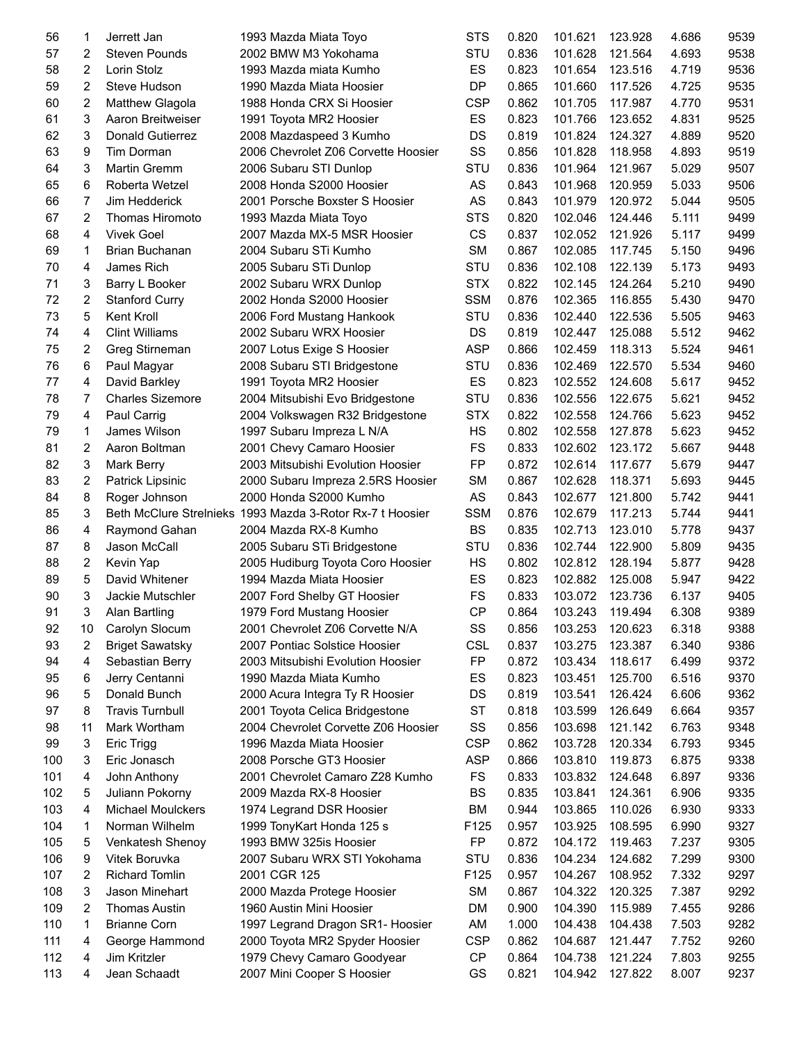| 56  | 1                       | Jerrett Jan              | 1993 Mazda Miata Toyo                                     | <b>STS</b> | 0.820 | 101.621 | 123.928 | 4.686 | 9539 |
|-----|-------------------------|--------------------------|-----------------------------------------------------------|------------|-------|---------|---------|-------|------|
| 57  | 2                       | <b>Steven Pounds</b>     | 2002 BMW M3 Yokohama                                      | STU        | 0.836 | 101.628 | 121.564 | 4.693 | 9538 |
| 58  | 2                       | Lorin Stolz              | 1993 Mazda miata Kumho                                    | ES         | 0.823 | 101.654 | 123.516 | 4.719 | 9536 |
| 59  | 2                       | Steve Hudson             | 1990 Mazda Miata Hoosier                                  | DP         | 0.865 | 101.660 | 117.526 | 4.725 | 9535 |
| 60  | 2                       | <b>Matthew Glagola</b>   | 1988 Honda CRX Si Hoosier                                 | <b>CSP</b> | 0.862 | 101.705 | 117.987 | 4.770 | 9531 |
| 61  | 3                       | Aaron Breitweiser        | 1991 Toyota MR2 Hoosier                                   | ES         | 0.823 | 101.766 | 123.652 | 4.831 | 9525 |
| 62  | 3                       | Donald Gutierrez         | 2008 Mazdaspeed 3 Kumho                                   | DS         | 0.819 | 101.824 | 124.327 | 4.889 | 9520 |
| 63  | 9                       | Tim Dorman               | 2006 Chevrolet Z06 Corvette Hoosier                       | SS         | 0.856 | 101.828 | 118.958 | 4.893 | 9519 |
| 64  | 3                       | <b>Martin Gremm</b>      | 2006 Subaru STI Dunlop                                    | STU        | 0.836 | 101.964 | 121.967 | 5.029 | 9507 |
| 65  | 6                       | Roberta Wetzel           | 2008 Honda S2000 Hoosier                                  | AS         | 0.843 | 101.968 | 120.959 | 5.033 | 9506 |
|     |                         |                          | 2001 Porsche Boxster S Hoosier                            |            |       |         | 120.972 |       | 9505 |
| 66  | 7                       | Jim Hedderick            |                                                           | AS         | 0.843 | 101.979 |         | 5.044 |      |
| 67  | 2                       | Thomas Hiromoto          | 1993 Mazda Miata Toyo                                     | <b>STS</b> | 0.820 | 102.046 | 124.446 | 5.111 | 9499 |
| 68  | 4                       | <b>Vivek Goel</b>        | 2007 Mazda MX-5 MSR Hoosier                               | CS         | 0.837 | 102.052 | 121.926 | 5.117 | 9499 |
| 69  | 1                       | Brian Buchanan           | 2004 Subaru STi Kumho                                     | <b>SM</b>  | 0.867 | 102.085 | 117.745 | 5.150 | 9496 |
| 70  | 4                       | James Rich               | 2005 Subaru STi Dunlop                                    | STU        | 0.836 | 102.108 | 122.139 | 5.173 | 9493 |
| 71  | 3                       | Barry L Booker           | 2002 Subaru WRX Dunlop                                    | <b>STX</b> | 0.822 | 102.145 | 124.264 | 5.210 | 9490 |
| 72  | 2                       | <b>Stanford Curry</b>    | 2002 Honda S2000 Hoosier                                  | <b>SSM</b> | 0.876 | 102.365 | 116.855 | 5.430 | 9470 |
| 73  | 5                       | Kent Kroll               | 2006 Ford Mustang Hankook                                 | STU        | 0.836 | 102.440 | 122.536 | 5.505 | 9463 |
| 74  | 4                       | <b>Clint Williams</b>    | 2002 Subaru WRX Hoosier                                   | DS         | 0.819 | 102.447 | 125.088 | 5.512 | 9462 |
| 75  | 2                       | Greg Stirneman           | 2007 Lotus Exige S Hoosier                                | <b>ASP</b> | 0.866 | 102.459 | 118.313 | 5.524 | 9461 |
| 76  | 6                       | Paul Magyar              | 2008 Subaru STI Bridgestone                               | STU        | 0.836 | 102.469 | 122.570 | 5.534 | 9460 |
| 77  | 4                       | David Barkley            | 1991 Toyota MR2 Hoosier                                   | ES         | 0.823 | 102.552 | 124.608 | 5.617 | 9452 |
| 78  | 7                       | <b>Charles Sizemore</b>  | 2004 Mitsubishi Evo Bridgestone                           | STU        | 0.836 | 102.556 | 122.675 | 5.621 | 9452 |
| 79  | 4                       | Paul Carrig              | 2004 Volkswagen R32 Bridgestone                           | <b>STX</b> | 0.822 | 102.558 | 124.766 | 5.623 | 9452 |
| 79  | 1                       | James Wilson             | 1997 Subaru Impreza L N/A                                 | HS         | 0.802 | 102.558 | 127.878 | 5.623 | 9452 |
| 81  | 2                       | Aaron Boltman            | 2001 Chevy Camaro Hoosier                                 | <b>FS</b>  | 0.833 | 102.602 | 123.172 | 5.667 | 9448 |
| 82  | 3                       | Mark Berry               | 2003 Mitsubishi Evolution Hoosier                         | <b>FP</b>  | 0.872 | 102.614 | 117.677 | 5.679 | 9447 |
| 83  | $\overline{\mathbf{c}}$ | Patrick Lipsinic         | 2000 Subaru Impreza 2.5RS Hoosier                         | <b>SM</b>  | 0.867 | 102.628 | 118.371 | 5.693 | 9445 |
| 84  | 8                       | Roger Johnson            | 2000 Honda S2000 Kumho                                    | AS         | 0.843 | 102.677 | 121.800 | 5.742 | 9441 |
| 85  | 3                       |                          | Beth McClure Strelnieks 1993 Mazda 3-Rotor Rx-7 t Hoosier | <b>SSM</b> | 0.876 | 102.679 | 117.213 | 5.744 | 9441 |
| 86  | 4                       | Raymond Gahan            | 2004 Mazda RX-8 Kumho                                     | <b>BS</b>  | 0.835 | 102.713 | 123.010 | 5.778 | 9437 |
| 87  | 8                       | Jason McCall             | 2005 Subaru STi Bridgestone                               | STU        | 0.836 | 102.744 | 122.900 | 5.809 | 9435 |
| 88  | 2                       | Kevin Yap                | 2005 Hudiburg Toyota Coro Hoosier                         | HS         | 0.802 | 102.812 | 128.194 | 5.877 | 9428 |
| 89  | 5                       | David Whitener           | 1994 Mazda Miata Hoosier                                  | ES         | 0.823 | 102.882 | 125.008 | 5.947 | 9422 |
| 90  | 3                       | Jackie Mutschler         | 2007 Ford Shelby GT Hoosier                               | <b>FS</b>  | 0.833 | 103.072 | 123.736 | 6.137 | 9405 |
| 91  | 3                       | <b>Alan Bartling</b>     | 1979 Ford Mustang Hoosier                                 | <b>CP</b>  | 0.864 | 103.243 | 119.494 | 6.308 | 9389 |
| 92  | 10                      | Carolyn Slocum           | 2001 Chevrolet Z06 Corvette N/A                           | SS         | 0.856 | 103.253 | 120.623 | 6.318 | 9388 |
| 93  | 2                       | <b>Briget Sawatsky</b>   | 2007 Pontiac Solstice Hoosier                             | <b>CSL</b> | 0.837 | 103.275 | 123.387 | 6.340 | 9386 |
| 94  | 4                       | Sebastian Berry          | 2003 Mitsubishi Evolution Hoosier                         | FP         | 0.872 | 103.434 | 118.617 | 6.499 | 9372 |
| 95  | 6                       | Jerry Centanni           | 1990 Mazda Miata Kumho                                    | ES         | 0.823 | 103.451 | 125.700 | 6.516 | 9370 |
| 96  | 5                       | Donald Bunch             | 2000 Acura Integra Ty R Hoosier                           | DS         | 0.819 | 103.541 | 126.424 | 6.606 | 9362 |
| 97  | 8                       | <b>Travis Turnbull</b>   | 2001 Toyota Celica Bridgestone                            | ST         | 0.818 | 103.599 | 126.649 | 6.664 | 9357 |
| 98  | 11                      | Mark Wortham             | 2004 Chevrolet Corvette Z06 Hoosier                       | SS         | 0.856 | 103.698 | 121.142 | 6.763 | 9348 |
| 99  | 3                       | Eric Trigg               | 1996 Mazda Miata Hoosier                                  | <b>CSP</b> | 0.862 | 103.728 | 120.334 | 6.793 | 9345 |
| 100 | 3                       | Eric Jonasch             | 2008 Porsche GT3 Hoosier                                  | <b>ASP</b> | 0.866 | 103.810 | 119.873 | 6.875 | 9338 |
| 101 | 4                       | John Anthony             | 2001 Chevrolet Camaro Z28 Kumho                           | <b>FS</b>  | 0.833 | 103.832 | 124.648 | 6.897 | 9336 |
| 102 |                         | Juliann Pokorny          | 2009 Mazda RX-8 Hoosier                                   | BS         | 0.835 | 103.841 | 124.361 |       | 9335 |
|     | 5                       |                          |                                                           |            |       |         |         | 6.906 |      |
| 103 | 4                       | <b>Michael Moulckers</b> | 1974 Legrand DSR Hoosier                                  | BM         | 0.944 | 103.865 | 110.026 | 6.930 | 9333 |
| 104 | 1                       | Norman Wilhelm           | 1999 TonyKart Honda 125 s                                 | F125       | 0.957 | 103.925 | 108.595 | 6.990 | 9327 |
| 105 | 5                       | Venkatesh Shenoy         | 1993 BMW 325is Hoosier                                    | FP         | 0.872 | 104.172 | 119.463 | 7.237 | 9305 |
| 106 | 9                       | Vitek Boruvka            | 2007 Subaru WRX STI Yokohama                              | STU        | 0.836 | 104.234 | 124.682 | 7.299 | 9300 |
| 107 | 2                       | <b>Richard Tomlin</b>    | 2001 CGR 125                                              | F125       | 0.957 | 104.267 | 108.952 | 7.332 | 9297 |
| 108 | 3                       | Jason Minehart           | 2000 Mazda Protege Hoosier                                | <b>SM</b>  | 0.867 | 104.322 | 120.325 | 7.387 | 9292 |
| 109 | 2                       | <b>Thomas Austin</b>     | 1960 Austin Mini Hoosier                                  | <b>DM</b>  | 0.900 | 104.390 | 115.989 | 7.455 | 9286 |
| 110 | 1                       | <b>Brianne Corn</b>      | 1997 Legrand Dragon SR1- Hoosier                          | AM         | 1.000 | 104.438 | 104.438 | 7.503 | 9282 |
| 111 | 4                       | George Hammond           | 2000 Toyota MR2 Spyder Hoosier                            | <b>CSP</b> | 0.862 | 104.687 | 121.447 | 7.752 | 9260 |
| 112 | 4                       | Jim Kritzler             | 1979 Chevy Camaro Goodyear                                | CP         | 0.864 | 104.738 | 121.224 | 7.803 | 9255 |
| 113 | 4                       | Jean Schaadt             | 2007 Mini Cooper S Hoosier                                | GS         | 0.821 | 104.942 | 127.822 | 8.007 | 9237 |